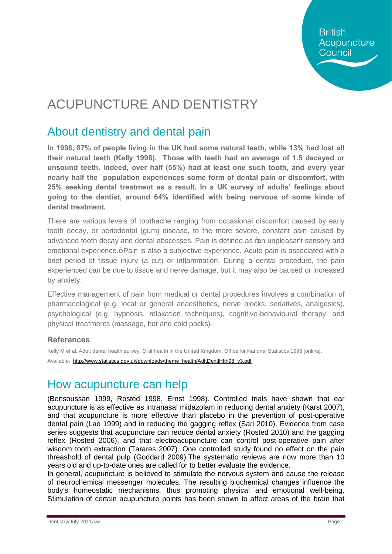# ACUPUNCTURE AND DENTISTRY

### About dentistry and dental pain

**In 1998, 87% of people living in the UK had some natural teeth, while 13% had lost all their natural teeth (Kelly 1998). Those with teeth had an average of 1.5 decayed or unsound teeth. Indeed, over half (55%) had at least one such tooth, and every year nearly half the population experiences some form of dental pain or discomfort, with 25% seeking dental treatment as a result. In a UK survey of adults' feelings about going to the dentist, around 64% identified with being nervous of some kinds of dental treatment.**

There are various levels of toothache ranging from occasional discomfort caused by early tooth decay, or periodontal (gum) disease, to the more severe, constant pain caused by advanced tooth decay and dental abscesses. Pain is defined as % an unpleasant sensory and emotional experience.+ Pain is also a subjective experience. Acute pain is associated with a brief period of tissue injury (a cut) or inflammation. During a dental procedure, the pain experienced can be due to tissue and nerve damage, but it may also be caused or increased by anxiety.

Effective management of pain from medical or dental procedures involves a combination of pharmacological (e.g. local or general anaesthetics, nerve blocks, sedatives, analgesics), psychological (e.g. hypnosis, relaxation techniques), cognitive-behavioural therapy, and physical treatments (massage, hot and cold packs).

#### **References**

Kelly M et al. Adult dental health survey. Oral health in the United Kingdom. Office for National Statistics 1998 [online].

Available: [http://www.statistics.gov.uk/downloads/theme\\_health/AdltDentlHlth98\\_v3.pdf](http://www.statistics.gov.uk/downloads/theme_health/AdltDentlHlth98_v3.pdf)

## How acupuncture can help

(Bensoussan 1999, Rosted 1998, Ernst 1998). Controlled trials have shown that ear acupuncture is as effective as intranasal midazolam in reducing dental anxiety (Karst 2007), and that acupuncture is more effective than placebo in the prevention of post-operative dental pain (Lao 1999) and in reducing the gagging reflex (Sari 2010). Evidence from case series suggests that acupuncture can reduce dental anxiety (Rosted 2010) and the gagging reflex (Rosted 2006), and that electroacupuncture can control post-operative pain after wisdom tooth extraction (Tarares 2007). One controlled study found no effect on the pain threashold of dental pulp (Goddard 2009).The systematic reviews are now more than 10 years old and up-to-date ones are called for to better evaluate the evidence.

In general, acupuncture is believed to stimulate the nervous system and cause the release of neurochemical messenger molecules. The resulting biochemical changes influence the body's homeostatic mechanisms, thus promoting physical and emotional well-being. Stimulation of certain acupuncture points has been shown to affect areas of the brain that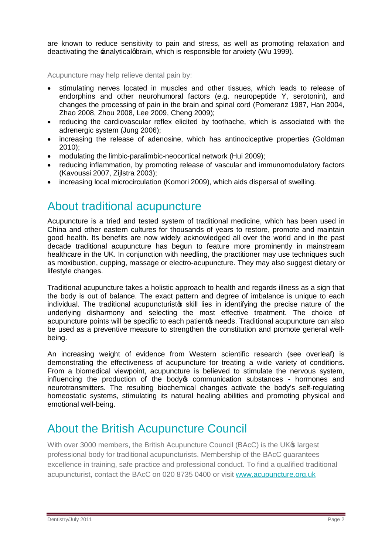are known to reduce sensitivity to pain and stress, as well as promoting relaxation and deactivating the **-analyticalgbrain**, which is responsible for anxiety (Wu 1999).

Acupuncture may help relieve dental pain by:

- · stimulating nerves located in muscles and other tissues, which leads to release of endorphins and other neurohumoral factors (e.g. neuropeptide Y, serotonin), and changes the processing of pain in the brain and spinal cord (Pomeranz 1987, Han 2004, Zhao 2008, Zhou 2008, Lee 2009, Cheng 2009);
- reducing the cardiovascular reflex elicited by toothache, which is associated with the adrenergic system (Jung 2006);
- increasing the release of adenosine, which has antinociceptive properties (Goldman 2010);
- · modulating the limbic-paralimbic-neocortical network (Hui 2009);
- · reducing inflammation, by promoting release of vascular and immunomodulatory factors (Kavoussi 2007, Zijlstra 2003);
- increasing local microcirculation (Komori 2009), which aids dispersal of swelling.

#### About traditional acupuncture

Acupuncture is a tried and tested system of traditional medicine, which has been used in China and other eastern cultures for thousands of years to restore, promote and maintain good health. Its benefits are now widely acknowledged all over the world and in the past decade traditional acupuncture has begun to feature more prominently in mainstream healthcare in the UK. In conjunction with needling, the practitioner may use techniques such as moxibustion, cupping, massage or electro-acupuncture. They may also suggest dietary or lifestyle changes.

Traditional acupuncture takes a holistic approach to health and regards illness as a sign that the body is out of balance. The exact pattern and degree of imbalance is unique to each individual. The traditional acupuncturists skill lies in identifying the precise nature of the underlying disharmony and selecting the most effective treatment. The choice of acupuncture points will be specific to each patient is needs. Traditional acupuncture can also be used as a preventive measure to strengthen the constitution and promote general wellbeing.

An increasing weight of evidence from Western scientific research (see overleaf) is demonstrating the effectiveness of acupuncture for treating a wide variety of conditions. From a biomedical viewpoint, acupuncture is believed to stimulate the nervous system, influencing the production of the body open communication substances - hormones and neurotransmitters. The resulting biochemical changes activate the body's self-regulating homeostatic systems, stimulating its natural healing abilities and promoting physical and emotional well-being.

#### About the British Acupuncture Council

With over 3000 members, the British Acupuncture Council (BAcC) is the UK<sup>®</sup> largest professional body for traditional acupuncturists. Membership of the BAcC guarantees excellence in training, safe practice and professional conduct. To find a qualified traditional acupuncturist, contact the BAcC on 020 8735 0400 or visit [www.acupuncture.org.uk](http://www.acupuncture.org.uk/)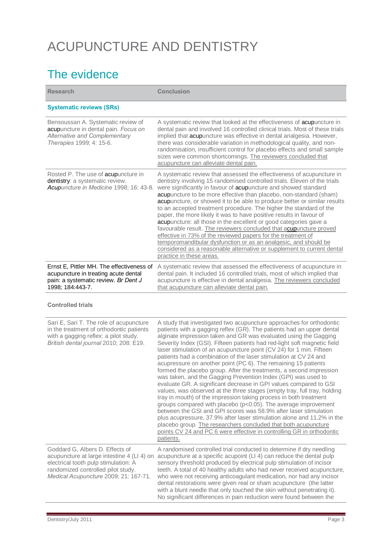## ACUPUNCTURE AND DENTISTRY

### The evidence

| <b>Research</b>                                                                                                                                                                                      | <b>Conclusion</b>                                                                                                                                                                                                                                                                                                                                                                                                                                                                                                                                                                                                                                                                                                                                                                                                                                                                                                                                                                                                                                                                                                                                                                                                                                 |
|------------------------------------------------------------------------------------------------------------------------------------------------------------------------------------------------------|---------------------------------------------------------------------------------------------------------------------------------------------------------------------------------------------------------------------------------------------------------------------------------------------------------------------------------------------------------------------------------------------------------------------------------------------------------------------------------------------------------------------------------------------------------------------------------------------------------------------------------------------------------------------------------------------------------------------------------------------------------------------------------------------------------------------------------------------------------------------------------------------------------------------------------------------------------------------------------------------------------------------------------------------------------------------------------------------------------------------------------------------------------------------------------------------------------------------------------------------------|
| <b>Systematic reviews (SRs)</b>                                                                                                                                                                      |                                                                                                                                                                                                                                                                                                                                                                                                                                                                                                                                                                                                                                                                                                                                                                                                                                                                                                                                                                                                                                                                                                                                                                                                                                                   |
| Bensoussan A. Systematic review of<br>acupuncture in dental pain. Focus on<br>Alternative and Complementary<br>Therapies 1999; 4: 15-6.                                                              | A systematic review that looked at the effectiveness of acupuncture in<br>dental pain and involved 16 controlled clinical trials. Most of these trials<br>implied that acupuncture was effective in dental analgesia. However,<br>there was considerable variation in methodological quality, and non-<br>randomisation, insufficient control for placebo effects and small sample<br>sizes were common shortcomings. The reviewers concluded that<br>acupuncture can alleviate dental pain.                                                                                                                                                                                                                                                                                                                                                                                                                                                                                                                                                                                                                                                                                                                                                      |
| Rosted P. The use of acupuncture in<br>dentistry: a systematic review.<br>Acupuncture in Medicine 1998; 16: 43-8.                                                                                    | A systematic review that assessed the effectiveness of acupuncture in<br>dentistry involving 15 randomised controlled trials. Eleven of the trials<br>were significantly in favour of acupuncture and showed standard<br>acupuncture to be more effective than placebo, non-standard (sham)<br>acupuncture, or showed it to be able to produce better or similar results<br>to an accepted treatment procedure. The higher the standard of the<br>paper, the more likely it was to have positive results in favour of<br>acupuncture: all those in the excellent or good categories gave a<br>favourable result. The reviewers concluded that acupuncture proved<br>effective in 73% of the reviewed papers for the treatment of<br>temporomandibular dysfunction or as an analgesic, and should be<br>considered as a reasonable alternative or supplement to current dental<br>practice in these areas.                                                                                                                                                                                                                                                                                                                                         |
| Ernst E, Pittler MH. The effectiveness of<br>acupuncture in treating acute dental<br>pain: a systematic review. Br Dent J<br>1998; 184:443-7.                                                        | A systematic review that assessed the effectiveness of acupuncture in<br>dental pain. It included 16 controlled trials, most of which implied that<br>acupuncture is effective in dental analgesia. The reviewers concluded<br>that acupuncture can alleviate dental pain.                                                                                                                                                                                                                                                                                                                                                                                                                                                                                                                                                                                                                                                                                                                                                                                                                                                                                                                                                                        |
| <b>Controlled trials</b>                                                                                                                                                                             |                                                                                                                                                                                                                                                                                                                                                                                                                                                                                                                                                                                                                                                                                                                                                                                                                                                                                                                                                                                                                                                                                                                                                                                                                                                   |
| Sari E, Sari T. The role of acupuncture<br>in the treatment of orthodontic patients<br>with a gagging reflex: a pilot study.<br>British dental journal 2010; 208: E19.                               | A study that investigated two acupuncture approaches for orthodontic<br>patients with a gagging reflex (GR). The patients had an upper dental<br>alginate impression taken and GR was evaluated using the Gagging<br>Severity Index (GSI). Fifteen patients had red-light soft magnetic field<br>laser stimulation of an acupuncture point (CV 24) for 1 min. Fifteen<br>patients had a combination of the laser stimulation at CV 24 and<br>acupressure on another point (PC 6). The remaining 15 patients<br>formed the placebo group. After the treatments, a second impression<br>was taken, and the Gagging Prevention Index (GPI) was used to<br>evaluate GR. A significant decrease in GPI values compared to GSI<br>values, was observed at the three stages (empty tray, full tray, holding<br>tray in mouth) of the impression taking process in both treatment<br>groups compared with placebo (p<0.05). The average improvement<br>between the GSI and GPI scores was 58.9% after laser stimulation<br>plus acupressure, 37.9% after laser stimulation alone and 11.2% in the<br>placebo group. The researchers concluded that both acupuncture<br>points CV 24 and PC 6 were effective in controlling GR in orthodontic<br>patients. |
| Goddard G, Albers D. Effects of<br>acupuncture at large intestine 4 (LI 4) on<br>electrical tooth pulp stimulation: A<br>randomized controlled pilot study.<br>Medical Acupuncture 2009; 21: 167-71. | A randomised controlled trial conducted to determine if dry needling<br>acupuncture at a specific acupoint (LI 4) can reduce the dental pulp<br>sensory threshold produced by electrical pulp stimulation of incisor<br>teeth. A total of 40 healthy adults who had never received acupuncture,<br>who were not receiving anticoagulant medication, nor had any incisor<br>dental restorations were given real or sham acupuncture (the latter<br>with a blunt needle that only touched the skin without penetrating it).<br>No significant differences in pain reduction were found between the                                                                                                                                                                                                                                                                                                                                                                                                                                                                                                                                                                                                                                                  |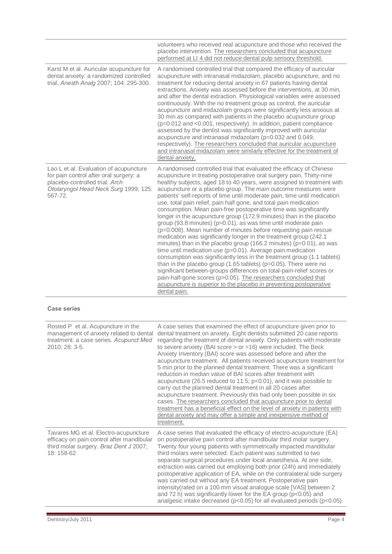|                                                                                                                                                                        | volunteers who received real acupuncture and those who received the<br>placebo intervention. The researchers concluded that acupuncture<br>performed at LI 4 did not reduce dental pulp sensory threshold.                                                                                                                                                                                                                                                                                                                                                                                                                                                                                                                                                                                                                                                                                                                                                                                                                                                                                                                                                                                                                                                                                                                        |
|------------------------------------------------------------------------------------------------------------------------------------------------------------------------|-----------------------------------------------------------------------------------------------------------------------------------------------------------------------------------------------------------------------------------------------------------------------------------------------------------------------------------------------------------------------------------------------------------------------------------------------------------------------------------------------------------------------------------------------------------------------------------------------------------------------------------------------------------------------------------------------------------------------------------------------------------------------------------------------------------------------------------------------------------------------------------------------------------------------------------------------------------------------------------------------------------------------------------------------------------------------------------------------------------------------------------------------------------------------------------------------------------------------------------------------------------------------------------------------------------------------------------|
| Karst M et al. Auricular acupuncture for<br>dental anxiety: a randomized controlled<br>trial. Anesth Analg 2007; 104: 295-300.                                         | A randomised controlled trial that compared the efficacy of auricular<br>acupuncture with intranasal midazolam, placebo acupuncture, and no<br>treatment for reducing dental anxiety in 67 patients having dental<br>extractions. Anxiety was assessed before the interventions, at 30 min,<br>and after the dental extraction. Physiological variables were assessed<br>continuously. With the no treatment group as control, the auricular<br>acupuncture and midazolam groups were significantly less anxious at<br>30 min as compared with patients in the placebo acupuncture group<br>(p=0.012 and <0.001, respectively). In addition, patient compliance<br>assessed by the dentist was significantly improved with auricular<br>acupuncture and intranasal midazolam (p=0.032 and 0.049,<br>respectively). The researchers concluded that auricular acupuncture<br>and intranasal midazolam were similarly effective for the treatment of<br>dental anxiety.                                                                                                                                                                                                                                                                                                                                                              |
| Lao L et al. Evaluation of acupuncture<br>for pain control after oral surgery: a<br>placebo-controlled trial. Arch<br>Otolaryngol Head Neck Surg 1999; 125:<br>567-72. | A randomised controlled trial that evaluated the efficacy of Chinese<br>acupuncture in treating postoperative oral surgery pain. Thirty-nine<br>healthy subjects, aged 18 to 40 years, were assigned to treatment with<br>acupuncture or a placebo group. The main outcome measures were<br>patients' self-reports of time until moderate pain, time until medication<br>use, total pain relief, pain half gone, and total pain medication<br>consumption. Mean pain-free postoperative time was significantly<br>longer in the acupuncture group (172.9 minutes) than in the placebo<br>group (93.8 minutes) (p=0.01), as was time until moderate pain<br>(p=0.008). Mean number of minutes before requesting pain rescue<br>medication was significantly longer in the treatment group (242.1<br>minutes) than in the placebo group (166.2 minutes) ( $p=0.01$ ), as was<br>time until medication use ( $p=0.01$ ). Average pain medication<br>consumption was significantly less in the treatment group (1.1 tablets)<br>than in the placebo group (1.65 tablets) ( $p=0.05$ ). There were no<br>significant between-groups differences on total-pain-relief scores or<br>pain-half-gone scores (p>0.05). The researchers concluded that<br>acupuncture is superior to the placebo in preventing postoperative<br>dental pain. |

#### **Case series**

| Rosted P et al. Acupuncture in the<br>management of anxiety related to dental<br>treatment: a case series. Acupunct Med<br>2010; 28: 3-5.   | A case series that examined the effect of acupuncture given prior to<br>dental treatment on anxiety. Eight dentists submitted 20 case reports<br>regarding the treatment of dental anxiety. Only patients with moderate<br>to severe anxiety (BAI score $>$ or =16) were included. The Beck<br>Anxiety Inventory (BAI) score was assessed before and after the<br>acupuncture treatment. All patients received acupuncture treatment for<br>5 min prior to the planned dental treatment. There was a significant<br>reduction in median value of BAI scores after treatment with<br>acupuncture (26.5 reduced to 11.5; $p<0.01$ ), and it was possible to<br>carry out the planned dental treatment in all 20 cases after<br>acupuncture treatment. Previously this had only been possible in six<br>cases. The researchers concluded that acupuncture prior to dental<br>treatment has a beneficial effect on the level of anxiety in patients with<br>dental anxiety and may offer a simple and inexpensive method of<br>treatment. |
|---------------------------------------------------------------------------------------------------------------------------------------------|---------------------------------------------------------------------------------------------------------------------------------------------------------------------------------------------------------------------------------------------------------------------------------------------------------------------------------------------------------------------------------------------------------------------------------------------------------------------------------------------------------------------------------------------------------------------------------------------------------------------------------------------------------------------------------------------------------------------------------------------------------------------------------------------------------------------------------------------------------------------------------------------------------------------------------------------------------------------------------------------------------------------------------------|
| Tavares MG et al. Electro-acupuncture<br>efficacy on pain control after mandibular<br>third molar surgery. Braz Dent J 2007;<br>18: 158-62. | A case series that evaluated the efficacy of electro-acupuncture (EA)<br>on postoperative pain control after mandibular third molar surgery.<br>Twenty four young patients with symmetrically impacted mandibular<br>third molars were selected. Each patient was submitted to two<br>separate surgical procedures under local anaesthesia. At one side,<br>extraction was carried out employing both prior (24h) and immediately<br>postoperative application of EA, while on the contralateral side surgery<br>was carried out without any EA treatment. Postoperative pain<br>intensity(rated on a 100 mm visual analogue scale [VAS] between 2<br>and 72 h) was significantly lower for the EA group (p<0.05) and<br>analgesic intake decreased ( $p<0.05$ ) for all evaluated periods ( $p<0.05$ ).                                                                                                                                                                                                                              |

Е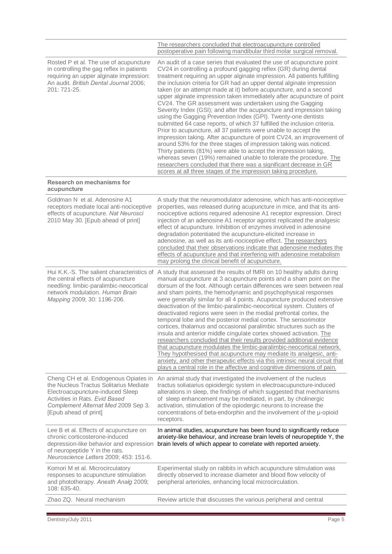|                                                                                                                                                                                                                       | The researchers concluded that electroacupuncture controlled<br>postoperative pain following mandibular third molar surgical removal.                                                                                                                                                                                                                                                                                                                                                                                                                                                                                                                                                                                                                                                                                                                                                                                                                                                                                                                                                                                                                                                                                              |
|-----------------------------------------------------------------------------------------------------------------------------------------------------------------------------------------------------------------------|------------------------------------------------------------------------------------------------------------------------------------------------------------------------------------------------------------------------------------------------------------------------------------------------------------------------------------------------------------------------------------------------------------------------------------------------------------------------------------------------------------------------------------------------------------------------------------------------------------------------------------------------------------------------------------------------------------------------------------------------------------------------------------------------------------------------------------------------------------------------------------------------------------------------------------------------------------------------------------------------------------------------------------------------------------------------------------------------------------------------------------------------------------------------------------------------------------------------------------|
| Rosted P et al. The use of acupuncture<br>in controlling the gag reflex in patients<br>requiring an upper alginate impression:<br>An audit. British Dental Journal 2006;<br>201: 721-25.                              | An audit of a case series that evaluated the use of acupuncture point<br>CV24 in controlling a profound gagging reflex (GR) during dental<br>treatment requiring an upper alginate impression. All patients fulfilling<br>the inclusion criteria for GR had an upper dental alginate impression<br>taken (or an attempt made at it) before acupuncture, and a second<br>upper alginate impression taken immediately after acupuncture of point<br>CV24. The GR assessment was undertaken using the Gagging<br>Severity Index (GSI); and after the acupuncture and impression taking<br>using the Gagging Prevention Index (GPI). Twenty-one dentists<br>submitted 64 case reports, of which 37 fulfilled the inclusion criteria.<br>Prior to acupuncture, all 37 patients were unable to accept the<br>impression taking. After acupuncture of point CV24, an improvement of<br>around 53% for the three stages of impression taking was noticed.<br>Thirty patients (81%) were able to accept the impression taking,<br>whereas seven (19%) remained unable to tolerate the procedure. The<br>researchers concluded that there was a significant decrease in GR<br>scores at all three stages of the impression taking procedure. |
| Research on mechanisms for<br>acupuncture                                                                                                                                                                             |                                                                                                                                                                                                                                                                                                                                                                                                                                                                                                                                                                                                                                                                                                                                                                                                                                                                                                                                                                                                                                                                                                                                                                                                                                    |
| Goldman N et al. Adenosine A1<br>receptors mediate local anti-nociceptive<br>effects of acupuncture. Nat Neurosci<br>2010 May 30. [Epub ahead of print]                                                               | A study that the neuromodulator adenosine, which has anti-nociceptive<br>properties, was released during acupuncture in mice, and that its anti-<br>nociceptive actions required adenosine A1 receptor expression. Direct<br>injection of an adenosine A1 receptor agonist replicated the analgesic<br>effect of acupuncture. Inhibition of enzymes involved in adenosine<br>degradation potentiated the acupuncture-elicited increase in<br>adenosine, as well as its anti-nociceptive effect. The researchers<br>concluded that their observations indicate that adenosine mediates the<br>effects of acupuncture and that interfering with adenosine metabolism<br>may prolong the clinical benefit of acupuncture.                                                                                                                                                                                                                                                                                                                                                                                                                                                                                                             |
| Hui K.K.-S. The salient characteristics of<br>the central effects of acupuncture<br>needling: limbic-paralimbic-neocortical<br>network modulation. Human Brain<br>Mapping 2009; 30: 1196-206.                         | A study that assessed the results of fMRI on 10 healthy adults during<br>manual acupuncture at 3 acupuncture points and a sham point on the<br>dorsum of the foot. Although certain differences wre seen between real<br>and sham points, the hemodynamic and psychophysical responses<br>were generally similar for all 4 points. Acupuncture produced extensive<br>deactivation of the limbic-paralimbic-neocortical system. Clusters of<br>deactivated regions were seen in the medial prefrontal cortex, the<br>temporal lobe and the posterior medial cortex. The sensorimotor<br>cortices, thalamus and occasional paralimbic structures such as the<br>insula and anterior middle cingulate cortex showed activation. The<br>researchers concluded that their results provided additional evidence<br>that acupuncture modulates the limbic-paralimbic-neocortical network.<br>They hypothesised that acupuncture may mediate its analgesic, anti-<br>anxiety, and other therapeutic effects via this intrinsic neural circuit that<br>plays a central role in the affective and cognitive dimensions of pain.                                                                                                              |
| Cheng CH et al. Endogenous Opiates in<br>the Nucleus Tractus Solitarius Mediate<br>Electroacupuncture-induced Sleep<br>Activities in Rats. Evid Based<br>Complement Alternat Med 2009 Sep 3.<br>[Epub ahead of print] | An animal study that investigated the involvement of the nucleus<br>tractus soliatarius opioidergic system in electroacupuncture-induced<br>alterations in sleep, the findings of which suggested that mechanisms<br>of sleep enhancement may be mediated, in part, by cholinergic<br>activation, stimulation of the opiodergic neurons to increase the<br>concentrations of beta-endorphin and the involvement of the µ-opioid<br>receptors.                                                                                                                                                                                                                                                                                                                                                                                                                                                                                                                                                                                                                                                                                                                                                                                      |
| Lee B et al. Effects of acupuncture on<br>chronic corticosterone-induced<br>depression-like behavior and expression<br>of neuropeptide Y in the rats.<br>Neuroscience Letters 2009; 453: 151-6.                       | In animal studies, acupuncture has been found to significantly reduce<br>anxiety-like behaviour, and increase brain levels of neuropeptide Y, the<br>brain levels of which appear to correlate with reported anxiety.                                                                                                                                                                                                                                                                                                                                                                                                                                                                                                                                                                                                                                                                                                                                                                                                                                                                                                                                                                                                              |
| Komori M et al. Microcirculatory<br>responses to acupuncture stimulation<br>and phototherapy. Anesth Analg 2009;<br>108: 635-40.                                                                                      | Experimental study on rabbits in which acupuncture stimulation was<br>directly observed to increase diameter and blood flow velocity of<br>peripheral arterioles, enhancing local microcirculation.                                                                                                                                                                                                                                                                                                                                                                                                                                                                                                                                                                                                                                                                                                                                                                                                                                                                                                                                                                                                                                |
| Zhao ZQ. Neural mechanism                                                                                                                                                                                             | Review article that discusses the various peripheral and central                                                                                                                                                                                                                                                                                                                                                                                                                                                                                                                                                                                                                                                                                                                                                                                                                                                                                                                                                                                                                                                                                                                                                                   |